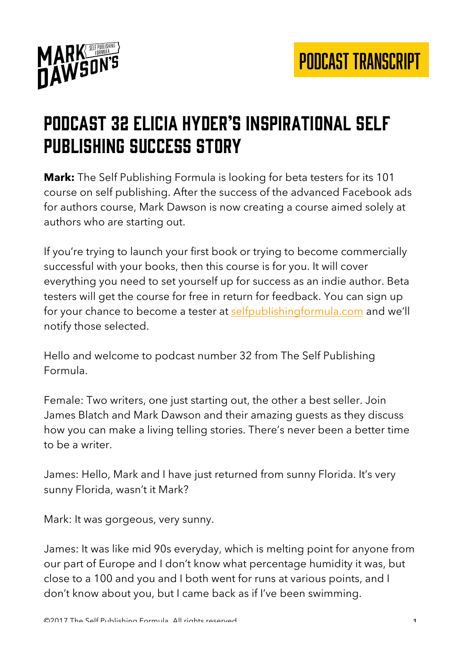

## Podcast 32 Elicia hyder's inspirational self publishing success story

**Mark:** The Self Publishing Formula is looking for beta testers for its 101 course on self publishing. After the success of the advanced Facebook ads for authors course, Mark Dawson is now creating a course aimed solely at authors who are starting out.

If you're trying to launch your first book or trying to become commercially successful with your books, then this course is for you. It will cover everything you need to set yourself up for success as an indie author. Beta testers will get the course for free in return for feedback. You can sign up for your chance to become a tester at selfpublishingformula.com and we'll notify those selected.

Hello and welcome to podcast number 32 from The Self Publishing Formula.

Female: Two writers, one just starting out, the other a best seller. Join James Blatch and Mark Dawson and their amazing guests as they discuss how you can make a living telling stories. There's never been a better time to be a writer.

James: Hello, Mark and I have just returned from sunny Florida. It's very sunny Florida, wasn't it Mark?

Mark: It was gorgeous, very sunny.

James: It was like mid 90s everyday, which is melting point for anyone from our part of Europe and I don't know what percentage humidity it was, but close to a 100 and you and I both went for runs at various points, and I don't know about you, but I came back as if I've been swimming.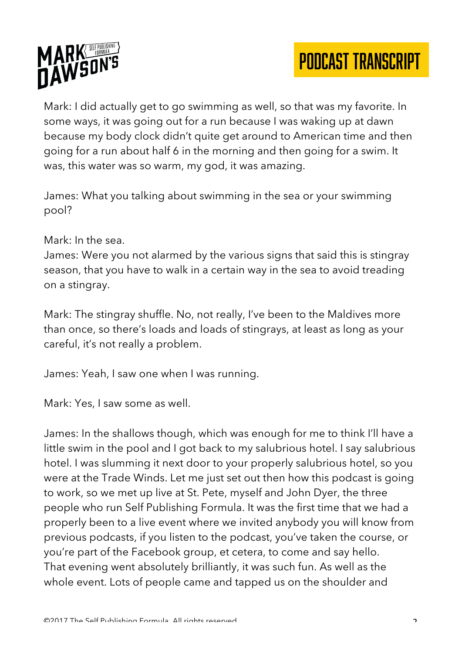



Mark: I did actually get to go swimming as well, so that was my favorite. In some ways, it was going out for a run because I was waking up at dawn because my body clock didn't quite get around to American time and then going for a run about half 6 in the morning and then going for a swim. It was, this water was so warm, my god, it was amazing.

James: What you talking about swimming in the sea or your swimming pool?

## Mark: In the sea.

James: Were you not alarmed by the various signs that said this is stingray season, that you have to walk in a certain way in the sea to avoid treading on a stingray.

Mark: The stingray shuffle. No, not really, I've been to the Maldives more than once, so there's loads and loads of stingrays, at least as long as your careful, it's not really a problem.

James: Yeah, I saw one when I was running.

Mark: Yes, I saw some as well.

James: In the shallows though, which was enough for me to think I'll have a little swim in the pool and I got back to my salubrious hotel. I say salubrious hotel. I was slumming it next door to your properly salubrious hotel, so you were at the Trade Winds. Let me just set out then how this podcast is going to work, so we met up live at St. Pete, myself and John Dyer, the three people who run Self Publishing Formula. It was the first time that we had a properly been to a live event where we invited anybody you will know from previous podcasts, if you listen to the podcast, you've taken the course, or you're part of the Facebook group, et cetera, to come and say hello. That evening went absolutely brilliantly, it was such fun. As well as the whole event. Lots of people came and tapped us on the shoulder and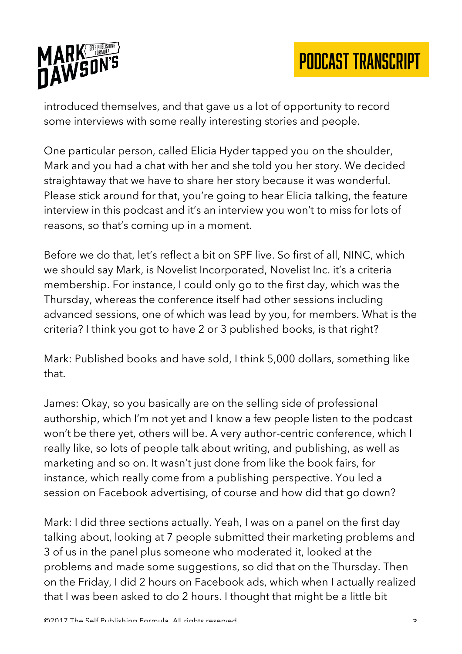

introduced themselves, and that gave us a lot of opportunity to record some interviews with some really interesting stories and people.

One particular person, called Elicia Hyder tapped you on the shoulder, Mark and you had a chat with her and she told you her story. We decided straightaway that we have to share her story because it was wonderful. Please stick around for that, you're going to hear Elicia talking, the feature interview in this podcast and it's an interview you won't to miss for lots of reasons, so that's coming up in a moment.

Before we do that, let's reflect a bit on SPF live. So first of all, NINC, which we should say Mark, is Novelist Incorporated, Novelist Inc. it's a criteria membership. For instance, I could only go to the first day, which was the Thursday, whereas the conference itself had other sessions including advanced sessions, one of which was lead by you, for members. What is the criteria? I think you got to have 2 or 3 published books, is that right?

Mark: Published books and have sold, I think 5,000 dollars, something like that.

James: Okay, so you basically are on the selling side of professional authorship, which I'm not yet and I know a few people listen to the podcast won't be there yet, others will be. A very author-centric conference, which I really like, so lots of people talk about writing, and publishing, as well as marketing and so on. It wasn't just done from like the book fairs, for instance, which really come from a publishing perspective. You led a session on Facebook advertising, of course and how did that go down?

Mark: I did three sections actually. Yeah, I was on a panel on the first day talking about, looking at 7 people submitted their marketing problems and 3 of us in the panel plus someone who moderated it, looked at the problems and made some suggestions, so did that on the Thursday. Then on the Friday, I did 2 hours on Facebook ads, which when I actually realized that I was been asked to do 2 hours. I thought that might be a little bit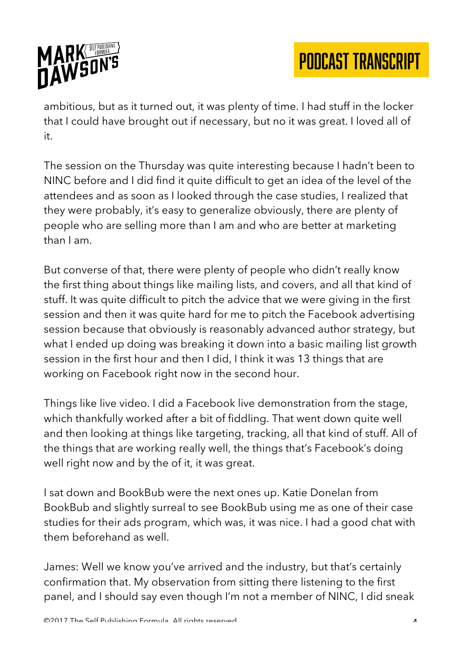

ambitious, but as it turned out, it was plenty of time. I had stuff in the locker that I could have brought out if necessary, but no it was great. I loved all of it.

The session on the Thursday was quite interesting because I hadn't been to NINC before and I did find it quite difficult to get an idea of the level of the attendees and as soon as I looked through the case studies, I realized that they were probably, it's easy to generalize obviously, there are plenty of people who are selling more than I am and who are better at marketing than I am.

But converse of that, there were plenty of people who didn't really know the first thing about things like mailing lists, and covers, and all that kind of stuff. It was quite difficult to pitch the advice that we were giving in the first session and then it was quite hard for me to pitch the Facebook advertising session because that obviously is reasonably advanced author strategy, but what I ended up doing was breaking it down into a basic mailing list growth session in the first hour and then I did, I think it was 13 things that are working on Facebook right now in the second hour.

Things like live video. I did a Facebook live demonstration from the stage, which thankfully worked after a bit of fiddling. That went down quite well and then looking at things like targeting, tracking, all that kind of stuff. All of the things that are working really well, the things that's Facebook's doing well right now and by the of it, it was great.

I sat down and BookBub were the next ones up. Katie Donelan from BookBub and slightly surreal to see BookBub using me as one of their case studies for their ads program, which was, it was nice. I had a good chat with them beforehand as well.

James: Well we know you've arrived and the industry, but that's certainly confirmation that. My observation from sitting there listening to the first panel, and I should say even though I'm not a member of NINC, I did sneak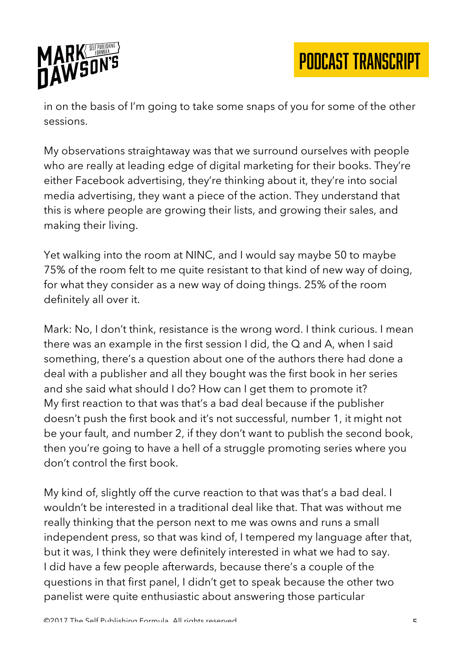

in on the basis of I'm going to take some snaps of you for some of the other sessions.

My observations straightaway was that we surround ourselves with people who are really at leading edge of digital marketing for their books. They're either Facebook advertising, they're thinking about it, they're into social media advertising, they want a piece of the action. They understand that this is where people are growing their lists, and growing their sales, and making their living.

Yet walking into the room at NINC, and I would say maybe 50 to maybe 75% of the room felt to me quite resistant to that kind of new way of doing, for what they consider as a new way of doing things. 25% of the room definitely all over it.

Mark: No, I don't think, resistance is the wrong word. I think curious. I mean there was an example in the first session I did, the Q and A, when I said something, there's a question about one of the authors there had done a deal with a publisher and all they bought was the first book in her series and she said what should I do? How can I get them to promote it? My first reaction to that was that's a bad deal because if the publisher doesn't push the first book and it's not successful, number 1, it might not be your fault, and number 2, if they don't want to publish the second book, then you're going to have a hell of a struggle promoting series where you don't control the first book.

My kind of, slightly off the curve reaction to that was that's a bad deal. I wouldn't be interested in a traditional deal like that. That was without me really thinking that the person next to me was owns and runs a small independent press, so that was kind of, I tempered my language after that, but it was, I think they were definitely interested in what we had to say. I did have a few people afterwards, because there's a couple of the questions in that first panel, I didn't get to speak because the other two panelist were quite enthusiastic about answering those particular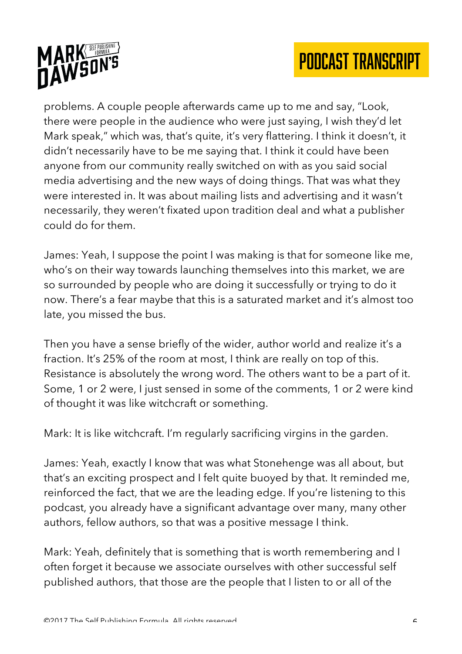



problems. A couple people afterwards came up to me and say, "Look, there were people in the audience who were just saying, I wish they'd let Mark speak," which was, that's quite, it's very flattering. I think it doesn't, it didn't necessarily have to be me saying that. I think it could have been anyone from our community really switched on with as you said social media advertising and the new ways of doing things. That was what they were interested in. It was about mailing lists and advertising and it wasn't necessarily, they weren't fixated upon tradition deal and what a publisher could do for them.

James: Yeah, I suppose the point I was making is that for someone like me, who's on their way towards launching themselves into this market, we are so surrounded by people who are doing it successfully or trying to do it now. There's a fear maybe that this is a saturated market and it's almost too late, you missed the bus.

Then you have a sense briefly of the wider, author world and realize it's a fraction. It's 25% of the room at most, I think are really on top of this. Resistance is absolutely the wrong word. The others want to be a part of it. Some, 1 or 2 were, I just sensed in some of the comments, 1 or 2 were kind of thought it was like witchcraft or something.

Mark: It is like witchcraft. I'm regularly sacrificing virgins in the garden.

James: Yeah, exactly I know that was what Stonehenge was all about, but that's an exciting prospect and I felt quite buoyed by that. It reminded me, reinforced the fact, that we are the leading edge. If you're listening to this podcast, you already have a significant advantage over many, many other authors, fellow authors, so that was a positive message I think.

Mark: Yeah, definitely that is something that is worth remembering and I often forget it because we associate ourselves with other successful self published authors, that those are the people that I listen to or all of the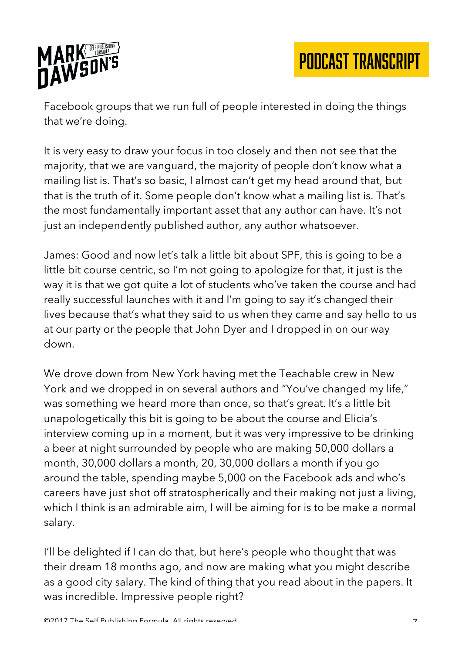

Facebook groups that we run full of people interested in doing the things that we're doing.

It is very easy to draw your focus in too closely and then not see that the majority, that we are vanguard, the majority of people don't know what a mailing list is. That's so basic, I almost can't get my head around that, but that is the truth of it. Some people don't know what a mailing list is. That's the most fundamentally important asset that any author can have. It's not just an independently published author, any author whatsoever.

James: Good and now let's talk a little bit about SPF, this is going to be a little bit course centric, so I'm not going to apologize for that, it just is the way it is that we got quite a lot of students who've taken the course and had really successful launches with it and I'm going to say it's changed their lives because that's what they said to us when they came and say hello to us at our party or the people that John Dyer and I dropped in on our way down.

We drove down from New York having met the Teachable crew in New York and we dropped in on several authors and "You've changed my life," was something we heard more than once, so that's great. It's a little bit unapologetically this bit is going to be about the course and Elicia's interview coming up in a moment, but it was very impressive to be drinking a beer at night surrounded by people who are making 50,000 dollars a month, 30,000 dollars a month, 20, 30,000 dollars a month if you go around the table, spending maybe 5,000 on the Facebook ads and who's careers have just shot off stratospherically and their making not just a living, which I think is an admirable aim, I will be aiming for is to be make a normal salary.

I'll be delighted if I can do that, but here's people who thought that was their dream 18 months ago, and now are making what you might describe as a good city salary. The kind of thing that you read about in the papers. It was incredible. Impressive people right?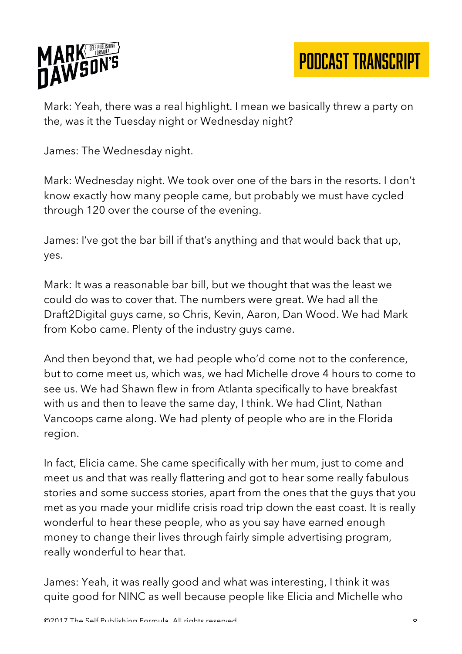

Mark: Yeah, there was a real highlight. I mean we basically threw a party on the, was it the Tuesday night or Wednesday night?

James: The Wednesday night.

Mark: Wednesday night. We took over one of the bars in the resorts. I don't know exactly how many people came, but probably we must have cycled through 120 over the course of the evening.

James: I've got the bar bill if that's anything and that would back that up, yes.

Mark: It was a reasonable bar bill, but we thought that was the least we could do was to cover that. The numbers were great. We had all the Draft2Digital guys came, so Chris, Kevin, Aaron, Dan Wood. We had Mark from Kobo came. Plenty of the industry guys came.

And then beyond that, we had people who'd come not to the conference, but to come meet us, which was, we had Michelle drove 4 hours to come to see us. We had Shawn flew in from Atlanta specifically to have breakfast with us and then to leave the same day, I think. We had Clint, Nathan Vancoops came along. We had plenty of people who are in the Florida region.

In fact, Elicia came. She came specifically with her mum, just to come and meet us and that was really flattering and got to hear some really fabulous stories and some success stories, apart from the ones that the guys that you met as you made your midlife crisis road trip down the east coast. It is really wonderful to hear these people, who as you say have earned enough money to change their lives through fairly simple advertising program, really wonderful to hear that.

James: Yeah, it was really good and what was interesting, I think it was quite good for NINC as well because people like Elicia and Michelle who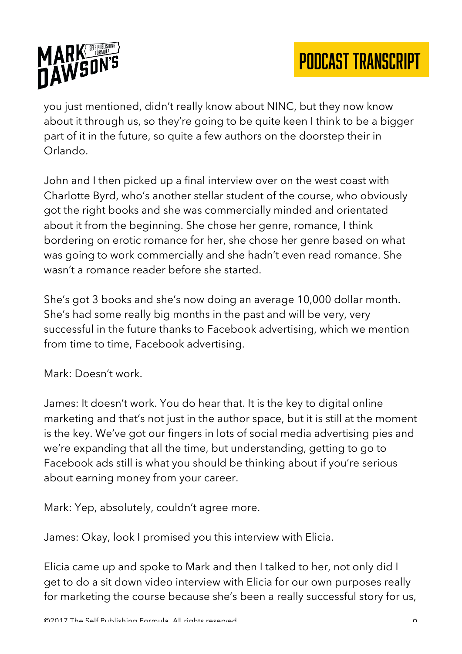

you just mentioned, didn't really know about NINC, but they now know about it through us, so they're going to be quite keen I think to be a bigger part of it in the future, so quite a few authors on the doorstep their in Orlando.

John and I then picked up a final interview over on the west coast with Charlotte Byrd, who's another stellar student of the course, who obviously got the right books and she was commercially minded and orientated about it from the beginning. She chose her genre, romance, I think bordering on erotic romance for her, she chose her genre based on what was going to work commercially and she hadn't even read romance. She wasn't a romance reader before she started.

She's got 3 books and she's now doing an average 10,000 dollar month. She's had some really big months in the past and will be very, very successful in the future thanks to Facebook advertising, which we mention from time to time, Facebook advertising.

Mark: Doesn't work.

James: It doesn't work. You do hear that. It is the key to digital online marketing and that's not just in the author space, but it is still at the moment is the key. We've got our fingers in lots of social media advertising pies and we're expanding that all the time, but understanding, getting to go to Facebook ads still is what you should be thinking about if you're serious about earning money from your career.

Mark: Yep, absolutely, couldn't agree more.

James: Okay, look I promised you this interview with Elicia.

Elicia came up and spoke to Mark and then I talked to her, not only did I get to do a sit down video interview with Elicia for our own purposes really for marketing the course because she's been a really successful story for us,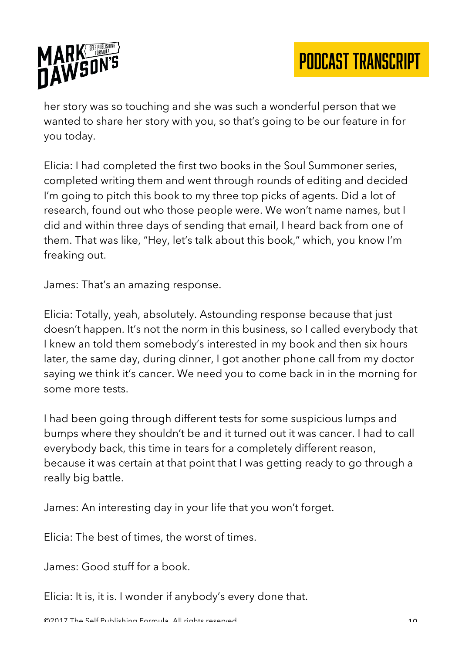

her story was so touching and she was such a wonderful person that we wanted to share her story with you, so that's going to be our feature in for you today.

Elicia: I had completed the first two books in the Soul Summoner series, completed writing them and went through rounds of editing and decided I'm going to pitch this book to my three top picks of agents. Did a lot of research, found out who those people were. We won't name names, but I did and within three days of sending that email, I heard back from one of them. That was like, "Hey, let's talk about this book," which, you know I'm freaking out.

James: That's an amazing response.

Elicia: Totally, yeah, absolutely. Astounding response because that just doesn't happen. It's not the norm in this business, so I called everybody that I knew an told them somebody's interested in my book and then six hours later, the same day, during dinner, I got another phone call from my doctor saying we think it's cancer. We need you to come back in in the morning for some more tests.

I had been going through different tests for some suspicious lumps and bumps where they shouldn't be and it turned out it was cancer. I had to call everybody back, this time in tears for a completely different reason, because it was certain at that point that I was getting ready to go through a really big battle.

James: An interesting day in your life that you won't forget.

Elicia: The best of times, the worst of times.

James: Good stuff for a book.

Elicia: It is, it is. I wonder if anybody's every done that.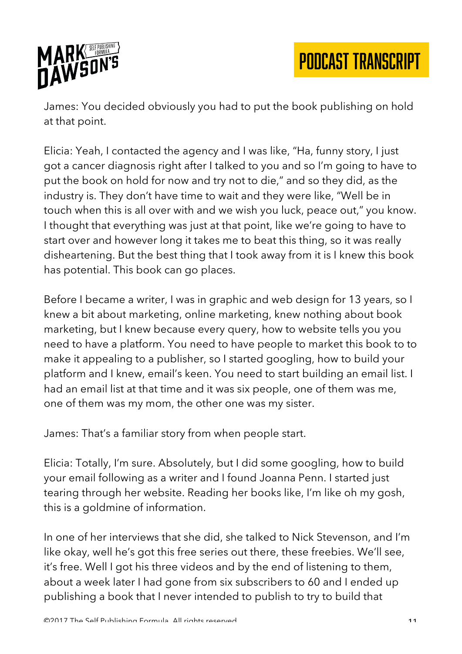

James: You decided obviously you had to put the book publishing on hold at that point.

Elicia: Yeah, I contacted the agency and I was like, "Ha, funny story, I just got a cancer diagnosis right after I talked to you and so I'm going to have to put the book on hold for now and try not to die," and so they did, as the industry is. They don't have time to wait and they were like, "Well be in touch when this is all over with and we wish you luck, peace out," you know. I thought that everything was just at that point, like we're going to have to start over and however long it takes me to beat this thing, so it was really disheartening. But the best thing that I took away from it is I knew this book has potential. This book can go places.

Before I became a writer, I was in graphic and web design for 13 years, so I knew a bit about marketing, online marketing, knew nothing about book marketing, but I knew because every query, how to website tells you you need to have a platform. You need to have people to market this book to to make it appealing to a publisher, so I started googling, how to build your platform and I knew, email's keen. You need to start building an email list. I had an email list at that time and it was six people, one of them was me, one of them was my mom, the other one was my sister.

James: That's a familiar story from when people start.

Elicia: Totally, I'm sure. Absolutely, but I did some googling, how to build your email following as a writer and I found Joanna Penn. I started just tearing through her website. Reading her books like, I'm like oh my gosh, this is a goldmine of information.

In one of her interviews that she did, she talked to Nick Stevenson, and I'm like okay, well he's got this free series out there, these freebies. We'll see, it's free. Well I got his three videos and by the end of listening to them, about a week later I had gone from six subscribers to 60 and I ended up publishing a book that I never intended to publish to try to build that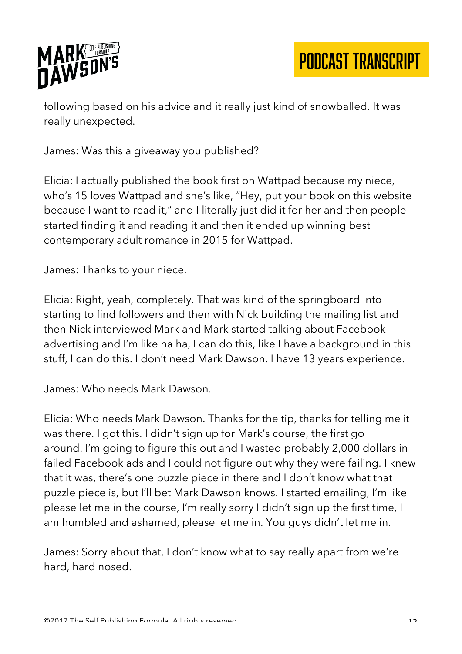

following based on his advice and it really just kind of snowballed. It was really unexpected.

James: Was this a giveaway you published?

Elicia: I actually published the book first on Wattpad because my niece, who's 15 loves Wattpad and she's like, "Hey, put your book on this website because I want to read it," and I literally just did it for her and then people started finding it and reading it and then it ended up winning best contemporary adult romance in 2015 for Wattpad.

James: Thanks to your niece.

Elicia: Right, yeah, completely. That was kind of the springboard into starting to find followers and then with Nick building the mailing list and then Nick interviewed Mark and Mark started talking about Facebook advertising and I'm like ha ha, I can do this, like I have a background in this stuff, I can do this. I don't need Mark Dawson. I have 13 years experience.

James: Who needs Mark Dawson.

Elicia: Who needs Mark Dawson. Thanks for the tip, thanks for telling me it was there. I got this. I didn't sign up for Mark's course, the first go around. I'm going to figure this out and I wasted probably 2,000 dollars in failed Facebook ads and I could not figure out why they were failing. I knew that it was, there's one puzzle piece in there and I don't know what that puzzle piece is, but I'll bet Mark Dawson knows. I started emailing, I'm like please let me in the course, I'm really sorry I didn't sign up the first time, I am humbled and ashamed, please let me in. You guys didn't let me in.

James: Sorry about that, I don't know what to say really apart from we're hard, hard nosed.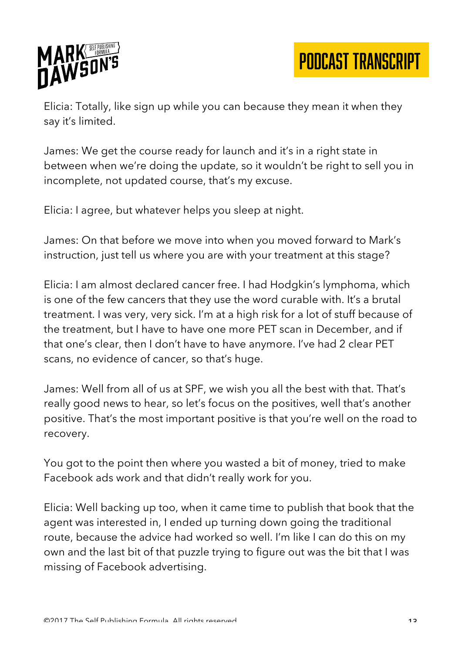

Elicia: Totally, like sign up while you can because they mean it when they say it's limited.

James: We get the course ready for launch and it's in a right state in between when we're doing the update, so it wouldn't be right to sell you in incomplete, not updated course, that's my excuse.

Elicia: I agree, but whatever helps you sleep at night.

James: On that before we move into when you moved forward to Mark's instruction, just tell us where you are with your treatment at this stage?

Elicia: I am almost declared cancer free. I had Hodgkin's lymphoma, which is one of the few cancers that they use the word curable with. It's a brutal treatment. I was very, very sick. I'm at a high risk for a lot of stuff because of the treatment, but I have to have one more PET scan in December, and if that one's clear, then I don't have to have anymore. I've had 2 clear PET scans, no evidence of cancer, so that's huge.

James: Well from all of us at SPF, we wish you all the best with that. That's really good news to hear, so let's focus on the positives, well that's another positive. That's the most important positive is that you're well on the road to recovery.

You got to the point then where you wasted a bit of money, tried to make Facebook ads work and that didn't really work for you.

Elicia: Well backing up too, when it came time to publish that book that the agent was interested in, I ended up turning down going the traditional route, because the advice had worked so well. I'm like I can do this on my own and the last bit of that puzzle trying to figure out was the bit that I was missing of Facebook advertising.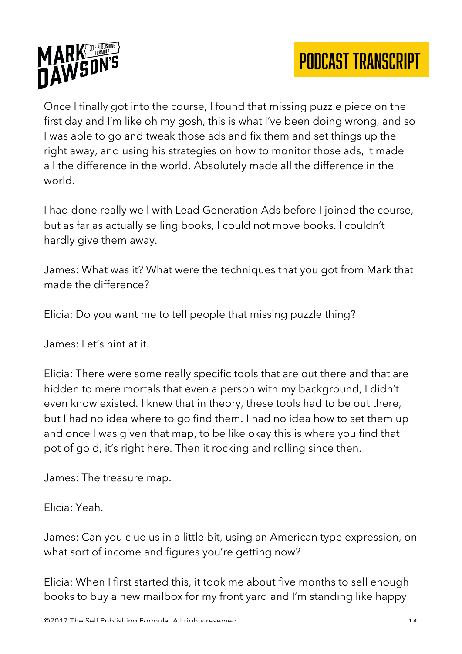



Once I finally got into the course, I found that missing puzzle piece on the first day and I'm like oh my gosh, this is what I've been doing wrong, and so I was able to go and tweak those ads and fix them and set things up the right away, and using his strategies on how to monitor those ads, it made all the difference in the world. Absolutely made all the difference in the world.

I had done really well with Lead Generation Ads before I joined the course, but as far as actually selling books, I could not move books. I couldn't hardly give them away.

James: What was it? What were the techniques that you got from Mark that made the difference?

Elicia: Do you want me to tell people that missing puzzle thing?

James: Let's hint at it.

Elicia: There were some really specific tools that are out there and that are hidden to mere mortals that even a person with my background, I didn't even know existed. I knew that in theory, these tools had to be out there, but I had no idea where to go find them. I had no idea how to set them up and once I was given that map, to be like okay this is where you find that pot of gold, it's right here. Then it rocking and rolling since then.

James: The treasure map.

Elicia: Yeah.

James: Can you clue us in a little bit, using an American type expression, on what sort of income and figures you're getting now?

Elicia: When I first started this, it took me about five months to sell enough books to buy a new mailbox for my front yard and I'm standing like happy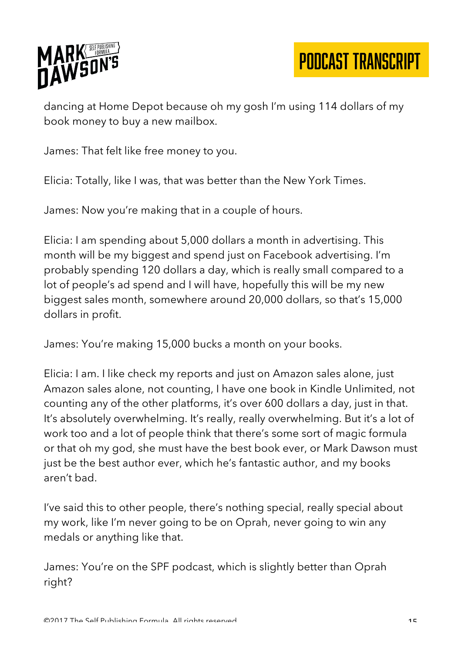

dancing at Home Depot because oh my gosh I'm using 114 dollars of my book money to buy a new mailbox.

James: That felt like free money to you.

Elicia: Totally, like I was, that was better than the New York Times.

James: Now you're making that in a couple of hours.

Elicia: I am spending about 5,000 dollars a month in advertising. This month will be my biggest and spend just on Facebook advertising. I'm probably spending 120 dollars a day, which is really small compared to a lot of people's ad spend and I will have, hopefully this will be my new biggest sales month, somewhere around 20,000 dollars, so that's 15,000 dollars in profit.

James: You're making 15,000 bucks a month on your books.

Elicia: I am. I like check my reports and just on Amazon sales alone, just Amazon sales alone, not counting, I have one book in Kindle Unlimited, not counting any of the other platforms, it's over 600 dollars a day, just in that. It's absolutely overwhelming. It's really, really overwhelming. But it's a lot of work too and a lot of people think that there's some sort of magic formula or that oh my god, she must have the best book ever, or Mark Dawson must just be the best author ever, which he's fantastic author, and my books aren't bad.

I've said this to other people, there's nothing special, really special about my work, like I'm never going to be on Oprah, never going to win any medals or anything like that.

James: You're on the SPF podcast, which is slightly better than Oprah right?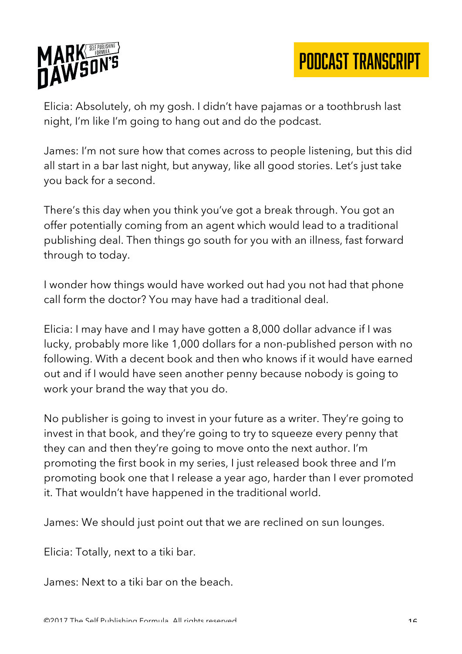

Elicia: Absolutely, oh my gosh. I didn't have pajamas or a toothbrush last night, I'm like I'm going to hang out and do the podcast.

James: I'm not sure how that comes across to people listening, but this did all start in a bar last night, but anyway, like all good stories. Let's just take you back for a second.

There's this day when you think you've got a break through. You got an offer potentially coming from an agent which would lead to a traditional publishing deal. Then things go south for you with an illness, fast forward through to today.

I wonder how things would have worked out had you not had that phone call form the doctor? You may have had a traditional deal.

Elicia: I may have and I may have gotten a 8,000 dollar advance if I was lucky, probably more like 1,000 dollars for a non-published person with no following. With a decent book and then who knows if it would have earned out and if I would have seen another penny because nobody is going to work your brand the way that you do.

No publisher is going to invest in your future as a writer. They're going to invest in that book, and they're going to try to squeeze every penny that they can and then they're going to move onto the next author. I'm promoting the first book in my series, I just released book three and I'm promoting book one that I release a year ago, harder than I ever promoted it. That wouldn't have happened in the traditional world.

James: We should just point out that we are reclined on sun lounges.

Elicia: Totally, next to a tiki bar.

James: Next to a tiki bar on the beach.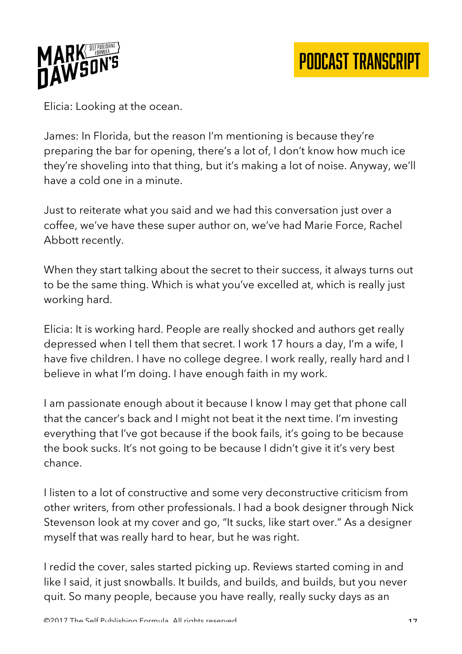

Elicia: Looking at the ocean.

James: In Florida, but the reason I'm mentioning is because they're preparing the bar for opening, there's a lot of, I don't know how much ice they're shoveling into that thing, but it's making a lot of noise. Anyway, we'll have a cold one in a minute.

Just to reiterate what you said and we had this conversation just over a coffee, we've have these super author on, we've had Marie Force, Rachel Abbott recently.

When they start talking about the secret to their success, it always turns out to be the same thing. Which is what you've excelled at, which is really just working hard.

Elicia: It is working hard. People are really shocked and authors get really depressed when I tell them that secret. I work 17 hours a day, I'm a wife, I have five children. I have no college degree. I work really, really hard and I believe in what I'm doing. I have enough faith in my work.

I am passionate enough about it because I know I may get that phone call that the cancer's back and I might not beat it the next time. I'm investing everything that I've got because if the book fails, it's going to be because the book sucks. It's not going to be because I didn't give it it's very best chance.

I listen to a lot of constructive and some very deconstructive criticism from other writers, from other professionals. I had a book designer through Nick Stevenson look at my cover and go, "It sucks, like start over." As a designer myself that was really hard to hear, but he was right.

I redid the cover, sales started picking up. Reviews started coming in and like I said, it just snowballs. It builds, and builds, and builds, but you never quit. So many people, because you have really, really sucky days as an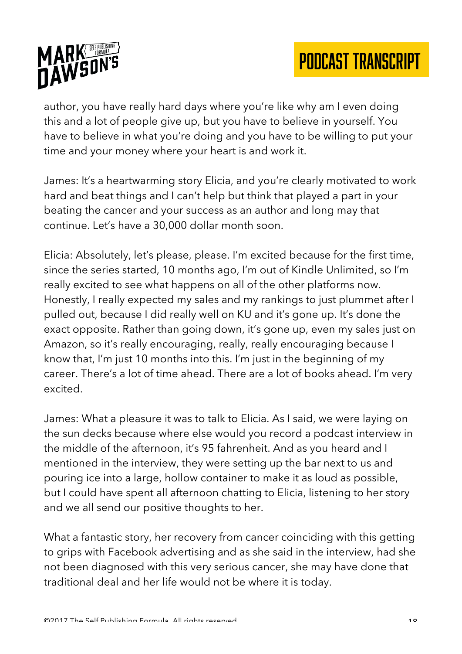



author, you have really hard days where you're like why am I even doing this and a lot of people give up, but you have to believe in yourself. You have to believe in what you're doing and you have to be willing to put your time and your money where your heart is and work it.

James: It's a heartwarming story Elicia, and you're clearly motivated to work hard and beat things and I can't help but think that played a part in your beating the cancer and your success as an author and long may that continue. Let's have a 30,000 dollar month soon.

Elicia: Absolutely, let's please, please. I'm excited because for the first time, since the series started, 10 months ago, I'm out of Kindle Unlimited, so I'm really excited to see what happens on all of the other platforms now. Honestly, I really expected my sales and my rankings to just plummet after I pulled out, because I did really well on KU and it's gone up. It's done the exact opposite. Rather than going down, it's gone up, even my sales just on Amazon, so it's really encouraging, really, really encouraging because I know that, I'm just 10 months into this. I'm just in the beginning of my career. There's a lot of time ahead. There are a lot of books ahead. I'm very excited.

James: What a pleasure it was to talk to Elicia. As I said, we were laying on the sun decks because where else would you record a podcast interview in the middle of the afternoon, it's 95 fahrenheit. And as you heard and I mentioned in the interview, they were setting up the bar next to us and pouring ice into a large, hollow container to make it as loud as possible, but I could have spent all afternoon chatting to Elicia, listening to her story and we all send our positive thoughts to her.

What a fantastic story, her recovery from cancer coinciding with this getting to grips with Facebook advertising and as she said in the interview, had she not been diagnosed with this very serious cancer, she may have done that traditional deal and her life would not be where it is today.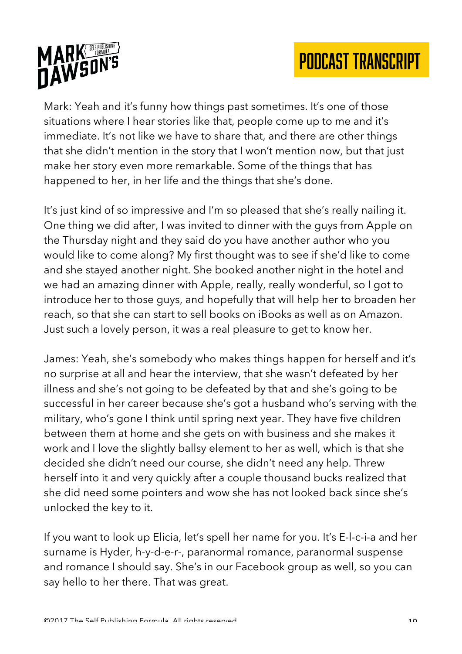



Mark: Yeah and it's funny how things past sometimes. It's one of those situations where I hear stories like that, people come up to me and it's immediate. It's not like we have to share that, and there are other things that she didn't mention in the story that I won't mention now, but that just make her story even more remarkable. Some of the things that has happened to her, in her life and the things that she's done.

It's just kind of so impressive and I'm so pleased that she's really nailing it. One thing we did after, I was invited to dinner with the guys from Apple on the Thursday night and they said do you have another author who you would like to come along? My first thought was to see if she'd like to come and she stayed another night. She booked another night in the hotel and we had an amazing dinner with Apple, really, really wonderful, so I got to introduce her to those guys, and hopefully that will help her to broaden her reach, so that she can start to sell books on iBooks as well as on Amazon. Just such a lovely person, it was a real pleasure to get to know her.

James: Yeah, she's somebody who makes things happen for herself and it's no surprise at all and hear the interview, that she wasn't defeated by her illness and she's not going to be defeated by that and she's going to be successful in her career because she's got a husband who's serving with the military, who's gone I think until spring next year. They have five children between them at home and she gets on with business and she makes it work and I love the slightly ballsy element to her as well, which is that she decided she didn't need our course, she didn't need any help. Threw herself into it and very quickly after a couple thousand bucks realized that she did need some pointers and wow she has not looked back since she's unlocked the key to it.

If you want to look up Elicia, let's spell her name for you. It's E-l-c-i-a and her surname is Hyder, h-y-d-e-r-, paranormal romance, paranormal suspense and romance I should say. She's in our Facebook group as well, so you can say hello to her there. That was great.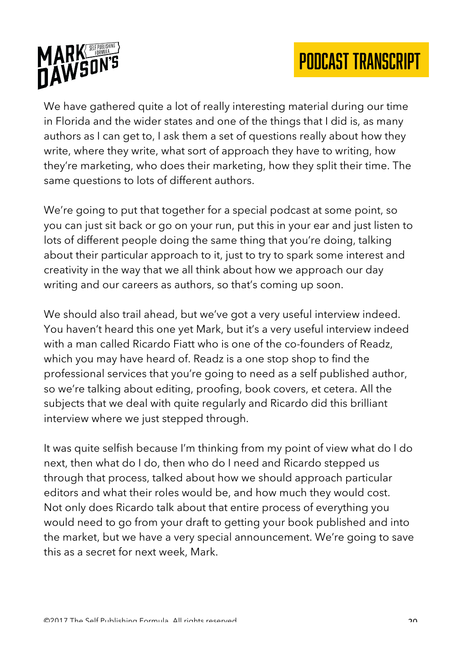

We have gathered quite a lot of really interesting material during our time in Florida and the wider states and one of the things that I did is, as many authors as I can get to, I ask them a set of questions really about how they write, where they write, what sort of approach they have to writing, how they're marketing, who does their marketing, how they split their time. The same questions to lots of different authors.

We're going to put that together for a special podcast at some point, so you can just sit back or go on your run, put this in your ear and just listen to lots of different people doing the same thing that you're doing, talking about their particular approach to it, just to try to spark some interest and creativity in the way that we all think about how we approach our day writing and our careers as authors, so that's coming up soon.

We should also trail ahead, but we've got a very useful interview indeed. You haven't heard this one yet Mark, but it's a very useful interview indeed with a man called Ricardo Fiatt who is one of the co-founders of Readz, which you may have heard of. Readz is a one stop shop to find the professional services that you're going to need as a self published author, so we're talking about editing, proofing, book covers, et cetera. All the subjects that we deal with quite regularly and Ricardo did this brilliant interview where we just stepped through.

It was quite selfish because I'm thinking from my point of view what do I do next, then what do I do, then who do I need and Ricardo stepped us through that process, talked about how we should approach particular editors and what their roles would be, and how much they would cost. Not only does Ricardo talk about that entire process of everything you would need to go from your draft to getting your book published and into the market, but we have a very special announcement. We're going to save this as a secret for next week, Mark.